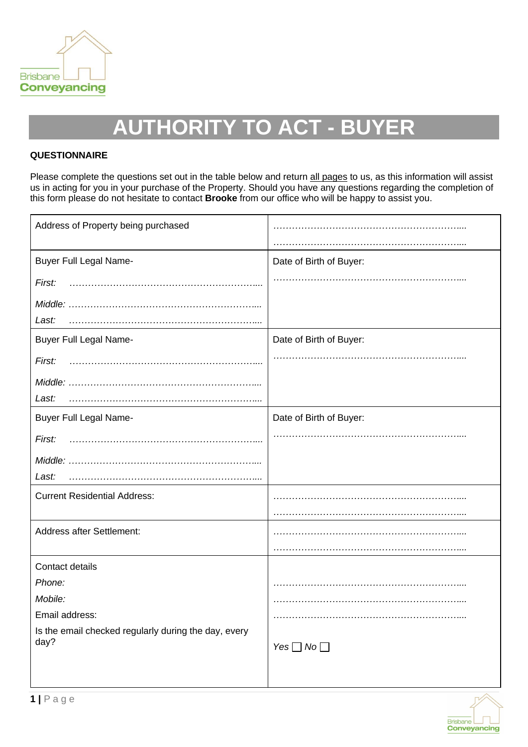

# **AUTHORITY TO ACT - BUYER**

# **QUESTIONNAIRE**

Please complete the questions set out in the table below and return all pages to us, as this information will assist us in acting for you in your purchase of the Property. Should you have any questions regarding the completion of this form please do not hesitate to contact **Brooke** from our office who will be happy to assist you.

| Address of Property being purchased                  |                         |
|------------------------------------------------------|-------------------------|
|                                                      |                         |
| <b>Buyer Full Legal Name-</b>                        | Date of Birth of Buyer: |
| First:                                               |                         |
|                                                      |                         |
| Last:                                                |                         |
| <b>Buyer Full Legal Name-</b>                        | Date of Birth of Buyer: |
| First:                                               |                         |
|                                                      |                         |
| Last:                                                |                         |
| <b>Buyer Full Legal Name-</b>                        | Date of Birth of Buyer: |
| First:                                               |                         |
|                                                      |                         |
| Last:                                                |                         |
| <b>Current Residential Address:</b>                  |                         |
|                                                      |                         |
| Address after Settlement:                            |                         |
|                                                      |                         |
| Contact details                                      |                         |
| Phone:                                               |                         |
| Mobile:                                              |                         |
| Email address:                                       |                         |
| Is the email checked regularly during the day, every |                         |
| day?                                                 | Yes $\Box$ No $\Box$    |
|                                                      |                         |
|                                                      |                         |

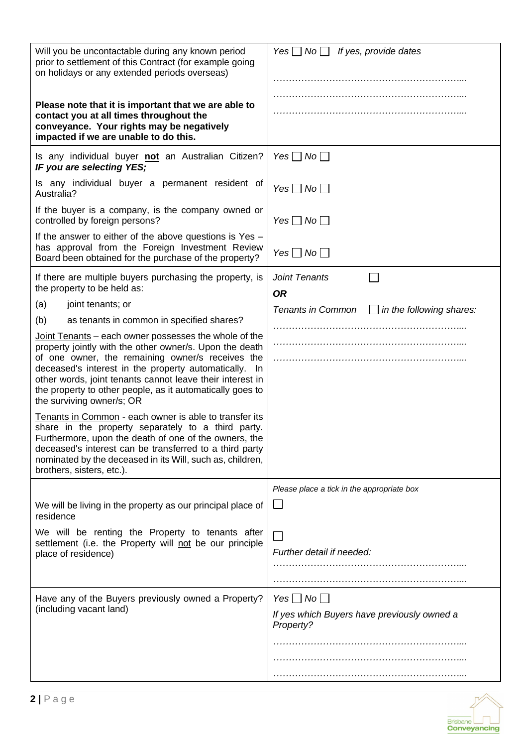| Will you be <i>uncontactable</i> during any known period<br>prior to settlement of this Contract (for example going<br>on holidays or any extended periods overseas)                                                                                                                                                                                                                 | Yes $\Box$ No $\Box$ If yes, provide dates                                       |
|--------------------------------------------------------------------------------------------------------------------------------------------------------------------------------------------------------------------------------------------------------------------------------------------------------------------------------------------------------------------------------------|----------------------------------------------------------------------------------|
| Please note that it is important that we are able to<br>contact you at all times throughout the<br>conveyance. Your rights may be negatively<br>impacted if we are unable to do this.                                                                                                                                                                                                |                                                                                  |
| Is any individual buyer not an Australian Citizen?<br>IF you are selecting YES;                                                                                                                                                                                                                                                                                                      | Yes $\Box$ No $\Box$                                                             |
| Is any individual buyer a permanent resident of<br>Australia?                                                                                                                                                                                                                                                                                                                        | Yes $\Box$ No $\Box$                                                             |
| If the buyer is a company, is the company owned or<br>controlled by foreign persons?                                                                                                                                                                                                                                                                                                 | Yes $\Box$ No $\Box$                                                             |
| If the answer to either of the above questions is $Yes -$<br>has approval from the Foreign Investment Review<br>Board been obtained for the purchase of the property?                                                                                                                                                                                                                | Yes $\Box$ No $\Box$                                                             |
| If there are multiple buyers purchasing the property, is<br>the property to be held as:                                                                                                                                                                                                                                                                                              | Joint Tenants<br><b>OR</b>                                                       |
| (a)<br>joint tenants; or                                                                                                                                                                                                                                                                                                                                                             | <b>Tenants in Common</b><br>$\Box$ in the following shares:                      |
| (b)<br>as tenants in common in specified shares?                                                                                                                                                                                                                                                                                                                                     |                                                                                  |
| Joint Tenants - each owner possesses the whole of the<br>property jointly with the other owner/s. Upon the death<br>of one owner, the remaining owner/s receives the<br>deceased's interest in the property automatically. In<br>other words, joint tenants cannot leave their interest in<br>the property to other people, as it automatically goes to<br>the surviving owner/s; OR |                                                                                  |
| Tenants in Common - each owner is able to transfer its<br>share in the property separately to a third party.<br>Furthermore, upon the death of one of the owners, the<br>deceased's interest can be transferred to a third party<br>nominated by the deceased in its Will, such as, children,<br>brothers, sisters, etc.).                                                           |                                                                                  |
|                                                                                                                                                                                                                                                                                                                                                                                      | Please place a tick in the appropriate box                                       |
| We will be living in the property as our principal place of<br>residence                                                                                                                                                                                                                                                                                                             | $\Box$                                                                           |
| We will be renting the Property to tenants after<br>settlement (i.e. the Property will not be our principle<br>place of residence)                                                                                                                                                                                                                                                   | Further detail if needed:                                                        |
| Have any of the Buyers previously owned a Property?<br>(including vacant land)                                                                                                                                                                                                                                                                                                       | Yes $\Box$ No $\Box$<br>If yes which Buyers have previously owned a<br>Property? |
|                                                                                                                                                                                                                                                                                                                                                                                      |                                                                                  |
|                                                                                                                                                                                                                                                                                                                                                                                      |                                                                                  |

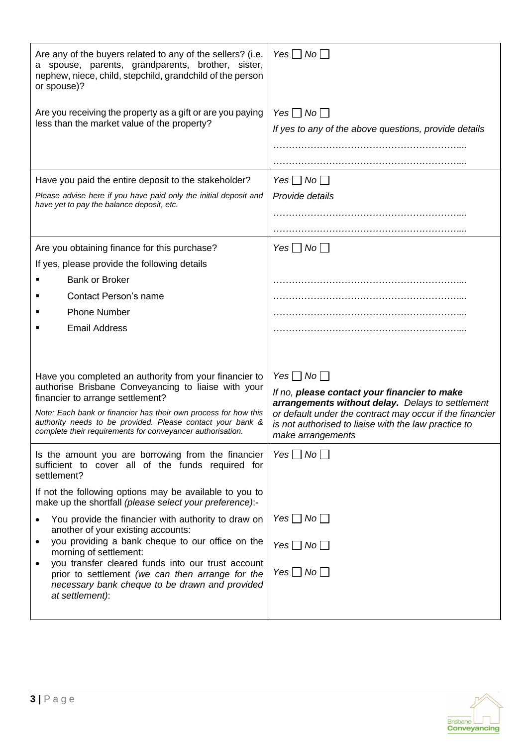| Are any of the buyers related to any of the sellers? (i.e.<br>a spouse, parents, grandparents, brother, sister,<br>nephew, niece, child, stepchild, grandchild of the person<br>or spouse)? | Yes $\Box$ No $\Box$                                                                                                                                                                      |
|---------------------------------------------------------------------------------------------------------------------------------------------------------------------------------------------|-------------------------------------------------------------------------------------------------------------------------------------------------------------------------------------------|
| Are you receiving the property as a gift or are you paying<br>less than the market value of the property?                                                                                   | Yes $\Box$ No $\Box$<br>If yes to any of the above questions, provide details                                                                                                             |
|                                                                                                                                                                                             |                                                                                                                                                                                           |
|                                                                                                                                                                                             |                                                                                                                                                                                           |
| Have you paid the entire deposit to the stakeholder?                                                                                                                                        | Yes $\Box$ No $\Box$                                                                                                                                                                      |
| Please advise here if you have paid only the initial deposit and<br>have yet to pay the balance deposit, etc.                                                                               | Provide details                                                                                                                                                                           |
|                                                                                                                                                                                             |                                                                                                                                                                                           |
|                                                                                                                                                                                             |                                                                                                                                                                                           |
| Are you obtaining finance for this purchase?                                                                                                                                                | Yes $\Box$ No $\Box$                                                                                                                                                                      |
| If yes, please provide the following details                                                                                                                                                |                                                                                                                                                                                           |
| <b>Bank or Broker</b>                                                                                                                                                                       |                                                                                                                                                                                           |
| <b>Contact Person's name</b>                                                                                                                                                                |                                                                                                                                                                                           |
| <b>Phone Number</b>                                                                                                                                                                         |                                                                                                                                                                                           |
| <b>Email Address</b>                                                                                                                                                                        |                                                                                                                                                                                           |
|                                                                                                                                                                                             |                                                                                                                                                                                           |
| Have you completed an authority from your financier to                                                                                                                                      | Yes $\Box$ No $\Box$                                                                                                                                                                      |
| authorise Brisbane Conveyancing to liaise with your<br>financier to arrange settlement?                                                                                                     | If no, please contact your financier to make                                                                                                                                              |
| Note: Each bank or financier has their own process for how this<br>authority needs to be provided. Please contact your bank &<br>complete their requirements for conveyancer authorisation. | arrangements without delay. Delays to settlement<br>or default under the contract may occur if the financier<br>is not authorised to liaise with the law practice to<br>make arrangements |
| Is the amount you are borrowing from the financier<br>sufficient to cover all of the funds required for<br>settlement?                                                                      | Yes $\Box$ No $\Box$                                                                                                                                                                      |
| If not the following options may be available to you to<br>make up the shortfall (please select your preference):-                                                                          |                                                                                                                                                                                           |
| You provide the financier with authority to draw on<br>another of your existing accounts:                                                                                                   | Yes $\Box$ No $\Box$                                                                                                                                                                      |
| you providing a bank cheque to our office on the<br>morning of settlement:                                                                                                                  | Yes $\Box$ No $\Box$                                                                                                                                                                      |
| you transfer cleared funds into our trust account<br>prior to settlement (we can then arrange for the<br>necessary bank cheque to be drawn and provided<br>at settlement):                  | Yes $\Box$ No $\Box$                                                                                                                                                                      |
|                                                                                                                                                                                             |                                                                                                                                                                                           |

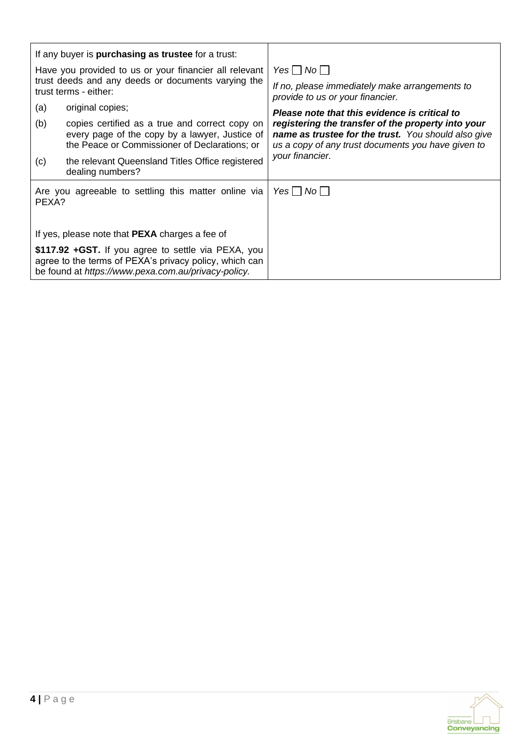|                                                        | If any buyer is <b>purchasing as trustee</b> for a trust:                                                                                                             |                                                                                                                                                                 |
|--------------------------------------------------------|-----------------------------------------------------------------------------------------------------------------------------------------------------------------------|-----------------------------------------------------------------------------------------------------------------------------------------------------------------|
| Have you provided to us or your financier all relevant |                                                                                                                                                                       | Yes $ $ $ $ No $ $                                                                                                                                              |
|                                                        | trust deeds and any deeds or documents varying the<br>trust terms - either:                                                                                           | If no, please immediately make arrangements to<br>provide to us or your financier.                                                                              |
| (a)                                                    | original copies;                                                                                                                                                      | Please note that this evidence is critical to                                                                                                                   |
| (b)                                                    | copies certified as a true and correct copy on<br>every page of the copy by a lawyer, Justice of<br>the Peace or Commissioner of Declarations; or                     | registering the transfer of the property into your<br>name as trustee for the trust. You should also give<br>us a copy of any trust documents you have given to |
| (c)                                                    | the relevant Queensland Titles Office registered<br>dealing numbers?                                                                                                  | your financier.                                                                                                                                                 |
| PEXA?                                                  | Are you agreeable to settling this matter online via                                                                                                                  | Yes     No                                                                                                                                                      |
|                                                        | If yes, please note that <b>PEXA</b> charges a fee of                                                                                                                 |                                                                                                                                                                 |
|                                                        | \$117.92 + GST. If you agree to settle via PEXA, you<br>agree to the terms of PEXA's privacy policy, which can<br>be found at https://www.pexa.com.au/privacy-policy. |                                                                                                                                                                 |

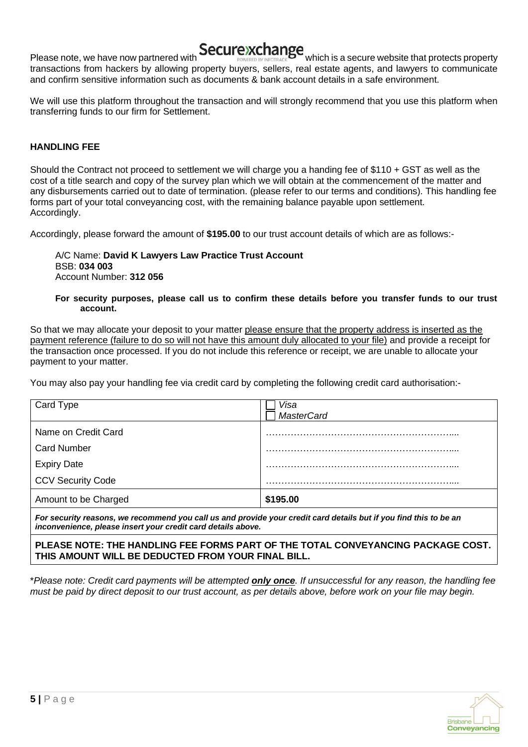

Please note, we have now partnered with **Secure in Change** which is a secure website that protects property transactions from hackers by allowing property buyers, sellers, real estate agents, and lawyers to communicate and confirm sensitive information such as documents & bank account details in a safe environment.

We will use this platform throughout the transaction and will strongly recommend that you use this platform when transferring funds to our firm for Settlement.

# **HANDLING FEE**

Should the Contract not proceed to settlement we will charge you a handing fee of \$110 + GST as well as the cost of a title search and copy of the survey plan which we will obtain at the commencement of the matter and any disbursements carried out to date of termination. (please refer to our terms and conditions). This handling fee forms part of your total conveyancing cost, with the remaining balance payable upon settlement. Accordingly.

Accordingly, please forward the amount of **\$195.00** to our trust account details of which are as follows:-

## A/C Name: **David K Lawyers Law Practice Trust Account** BSB: **034 003** Account Number: **312 056**

#### **For security purposes, please call us to confirm these details before you transfer funds to our trust account.**

So that we may allocate your deposit to your matter please ensure that the property address is inserted as the payment reference (failure to do so will not have this amount duly allocated to your file) and provide a receipt for the transaction once processed. If you do not include this reference or receipt, we are unable to allocate your payment to your matter.

You may also pay your handling fee via credit card by completing the following credit card authorisation:-

| Card Type                          | Visa<br><b>MasterCard</b> |
|------------------------------------|---------------------------|
| Name on Credit Card                |                           |
| <b>Card Number</b>                 |                           |
| <b>Expiry Date</b>                 |                           |
| <b>CCV Security Code</b>           |                           |
| Amount to be Charged               | \$195.00                  |
| $\sim$ $\sim$ $\sim$ $\sim$ $\sim$ |                           |

*For security reasons, we recommend you call us and provide your credit card details but if you find this to be an inconvenience, please insert your credit card details above.* 

## **PLEASE NOTE: THE HANDLING FEE FORMS PART OF THE TOTAL CONVEYANCING PACKAGE COST. THIS AMOUNT WILL BE DEDUCTED FROM YOUR FINAL BILL.**

\**Please note: Credit card payments will be attempted only once. If unsuccessful for any reason, the handling fee must be paid by direct deposit to our trust account, as per details above, before work on your file may begin.*